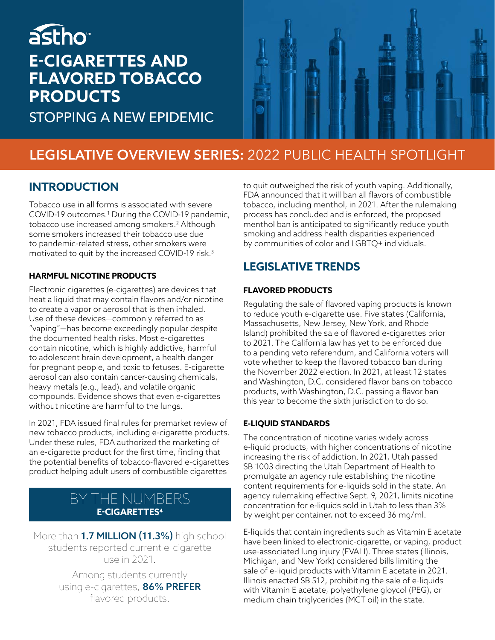## astho<sup>®</sup> **E-CIGARETTES AND FLAVORED TOBACCO PRODUCTS**

STOPPING A NEW EPIDEMIC



## **LEGISLATIVE OVERVIEW SERIES:** 2022 PUBLIC HEALTH SPOTLIGHT

### **INTRODUCTION**

Tobacco use in all forms is associated with severe COVID-19 outcomes.<sup>1</sup> During the COVID-19 pandemic, tobacco use increased among smokers.2 Although some smokers increased their tobacco use due to pandemic-related stress, other smokers were motivated to quit by the increased COVID-19 risk.3

#### **HARMFUL NICOTINE PRODUCTS**

Electronic cigarettes (e-cigarettes) are devices that heat a liquid that may contain flavors and/or nicotine to create a vapor or aerosol that is then inhaled. Use of these devices—commonly referred to as "vaping"—has become exceedingly popular despite the documented health risks. Most e-cigarettes contain nicotine, which is highly addictive, harmful to adolescent brain development, a health danger for pregnant people, and toxic to fetuses. E-cigarette aerosol can also contain cancer-causing chemicals, heavy metals (e.g., lead), and volatile organic compounds. Evidence shows that even e-cigarettes without nicotine are harmful to the lungs.

In 2021, FDA issued final rules for premarket review of new tobacco products, including e-cigarette products. Under these rules, FDA authorized the marketing of an e-cigarette product for the first time, finding that the potential benefits of tobacco-flavored e-cigarettes product helping adult users of combustible cigarettes

### BY THE NUMBERS **E-CIGARETTES4**

More than **1.7 MILLION (11.3%)** high school students reported current e-cigarette use in 2021.

> Among students currently using e-cigarettes, 86% PREFER flavored products.

to quit outweighed the risk of youth vaping. Additionally, FDA announced that it will ban all flavors of combustible tobacco, including menthol, in 2021. After the rulemaking process has concluded and is enforced, the proposed menthol ban is anticipated to significantly reduce youth smoking and address health disparities experienced by communities of color and LGBTQ+ individuals.

## **LEGISLATIVE TRENDS**

#### **FLAVORED PRODUCTS**

Regulating the sale of flavored vaping products is known to reduce youth e-cigarette use. Five states (California, Massachusetts, New Jersey, New York, and Rhode Island) prohibited the sale of flavored e-cigarettes prior to 2021. The California law has yet to be enforced due to a pending veto referendum, and California voters will vote whether to keep the flavored tobacco ban during the November 2022 election. In 2021, at least 12 states and Washington, D.C. considered flavor bans on tobacco products, with Washington, D.C. passing a flavor ban this year to become the sixth jurisdiction to do so.

#### **E-LIQUID STANDARDS**

The concentration of nicotine varies widely across e-liquid products, with higher concentrations of nicotine increasing the risk of addiction. In 2021, Utah passed SB 1003 directing the Utah Department of Health to promulgate an agency rule establishing the nicotine content requirements for e-liquids sold in the state. An agency rulemaking effective Sept. 9, 2021, limits nicotine concentration for e-liquids sold in Utah to less than 3% by weight per container, not to exceed 36 mg/ml.

E-liquids that contain ingredients such as Vitamin E acetate have been linked to electronic-cigarette, or vaping, product use-associated lung injury (EVALI). Three states (Illinois, Michigan, and New York) considered bills limiting the sale of e-liquid products with Vitamin E acetate in 2021. Illinois enacted SB 512, prohibiting the sale of e-liquids with Vitamin E acetate, polyethylene gloycol (PEG), or medium chain triglycerides (MCT oil) in the state.